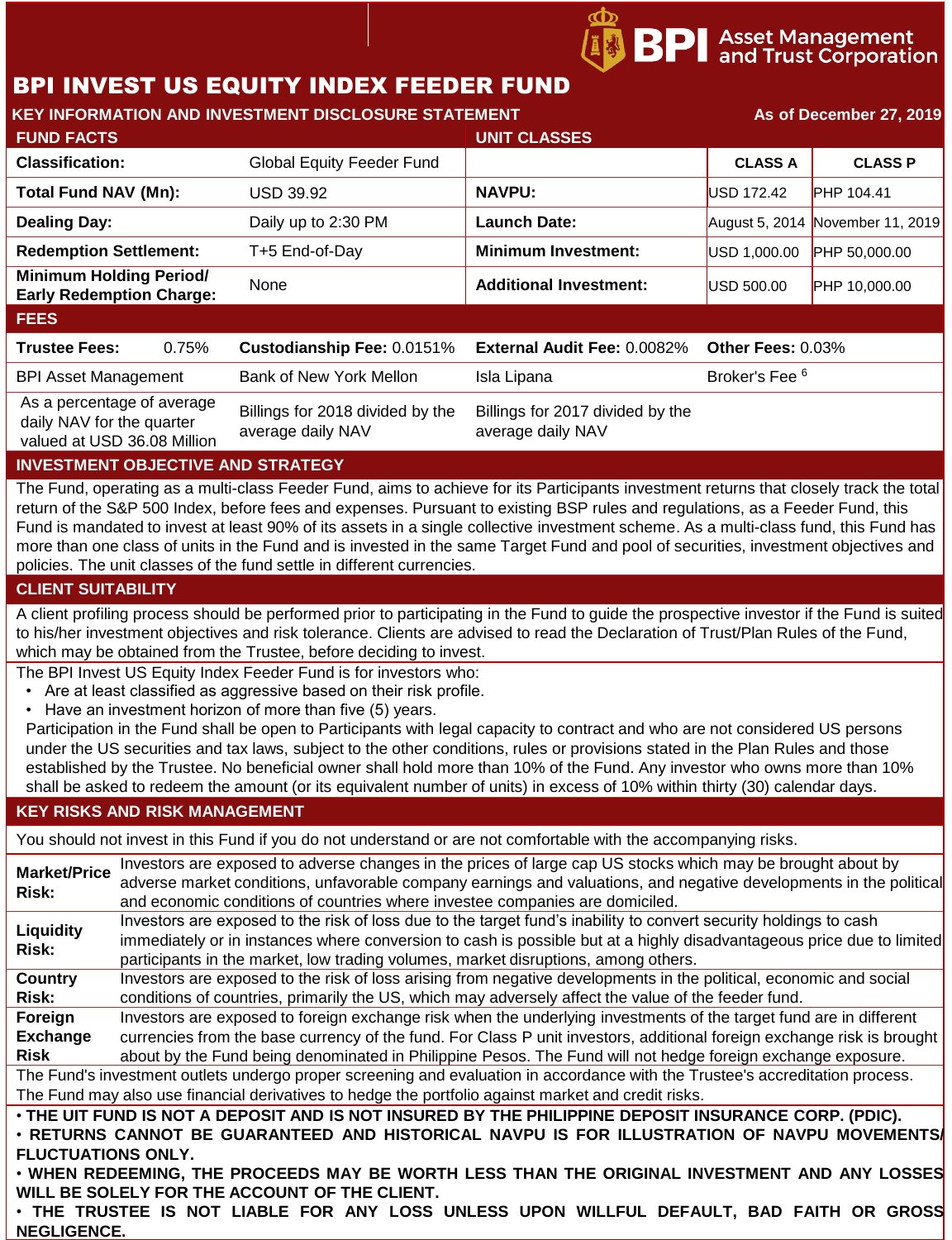# BPI INVEST US EQUITY INDEX FEEDER FUND

| <b>KEY INFORMATION AND INVESTMENT DISCLOSURE STATEMENT</b>                             |       |                                                       |                                                       | As of December 27, 2019   |                                  |
|----------------------------------------------------------------------------------------|-------|-------------------------------------------------------|-------------------------------------------------------|---------------------------|----------------------------------|
| <b>FUND FACTS</b>                                                                      |       |                                                       | <b>UNIT CLASSES</b>                                   |                           |                                  |
| <b>Classification:</b>                                                                 |       | <b>Global Equity Feeder Fund</b>                      |                                                       | <b>CLASS A</b>            | <b>CLASS P</b>                   |
| Total Fund NAV (Mn):                                                                   |       | <b>USD 39.92</b>                                      | <b>NAVPU:</b>                                         | <b>USD 172.42</b>         | <b>PHP 104.41</b>                |
| <b>Dealing Day:</b>                                                                    |       | Daily up to 2:30 PM                                   | <b>Launch Date:</b>                                   |                           | August 5, 2014 November 11, 2019 |
| <b>Redemption Settlement:</b>                                                          |       | T+5 End-of-Day                                        | <b>Minimum Investment:</b>                            | USD 1,000.00              | PHP 50,000.00                    |
| <b>Minimum Holding Period/</b><br><b>Early Redemption Charge:</b>                      |       | None                                                  | <b>Additional Investment:</b>                         | USD 500.00                | PHP 10,000.00                    |
| <b>FEES</b>                                                                            |       |                                                       |                                                       |                           |                                  |
| <b>Trustee Fees:</b>                                                                   | 0.75% | Custodianship Fee: 0.0151%                            | External Audit Fee: 0.0082%                           | Other Fees: 0.03%         |                                  |
| <b>BPI Asset Management</b>                                                            |       | Bank of New York Mellon                               | Isla Lipana                                           | Broker's Fee <sup>6</sup> |                                  |
| As a percentage of average<br>daily NAV for the quarter<br>valued at USD 36.08 Million |       | Billings for 2018 divided by the<br>average daily NAV | Billings for 2017 divided by the<br>average daily NAV |                           |                                  |
| INVECTMENT OD IECTIVE AND CTDATECV                                                     |       |                                                       |                                                       |                           |                                  |

**BPI** Asset Management<br>**BPI** and Trust Corporation

# **INVESTMENT OBJECTIVE AND STRATEGY**

The Fund, operating as a multi-class Feeder Fund, aims to achieve for its Participants investment returns that closely track the total return of the S&P 500 Index, before fees and expenses. Pursuant to existing BSP rules and regulations, as a Feeder Fund, this Fund is mandated to invest at least 90% of its assets in a single collective investment scheme. As a multi-class fund, this Fund has more than one class of units in the Fund and is invested in the same Target Fund and pool of securities, investment objectives and policies. The unit classes of the fund settle in different currencies.

### **CLIENT SUITABILITY**

A client profiling process should be performed prior to participating in the Fund to guide the prospective investor if the Fund is suited to his/her investment objectives and risk tolerance. Clients are advised to read the Declaration of Trust/Plan Rules of the Fund, which may be obtained from the Trustee, before deciding to invest.

The BPI Invest US Equity Index Feeder Fund is for investors who:

- Are at least classified as aggressive based on their risk profile.
- Have an investment horizon of more than five (5) years.

Participation in the Fund shall be open to Participants with legal capacity to contract and who are not considered US persons under the US securities and tax laws, subject to the other conditions, rules or provisions stated in the Plan Rules and those established by the Trustee. No beneficial owner shall hold more than 10% of the Fund. Any investor who owns more than 10% shall be asked to redeem the amount (or its equivalent number of units) in excess of 10% within thirty (30) calendar days.

### **KEY RISKS AND RISK MANAGEMENT**

You should not invest in this Fund if you do not understand or are not comfortable with the accompanying risks.

| <b>Market/Price</b>                                                                          | Investors are exposed to adverse changes in the prices of large cap US stocks which may be brought about by                   |  |  |  |
|----------------------------------------------------------------------------------------------|-------------------------------------------------------------------------------------------------------------------------------|--|--|--|
| Risk:                                                                                        | adverse market conditions, unfavorable company earnings and valuations, and negative developments in the political            |  |  |  |
|                                                                                              | and economic conditions of countries where investee companies are domiciled.                                                  |  |  |  |
| Liquidity                                                                                    | Investors are exposed to the risk of loss due to the target fund's inability to convert security holdings to cash             |  |  |  |
| Risk:                                                                                        | immediately or in instances where conversion to cash is possible but at a highly disadvantageous price due to limited         |  |  |  |
|                                                                                              | participants in the market, low trading volumes, market disruptions, among others.                                            |  |  |  |
| <b>Country</b>                                                                               | Investors are exposed to the risk of loss arising from negative developments in the political, economic and social            |  |  |  |
| Risk:                                                                                        | conditions of countries, primarily the US, which may adversely affect the value of the feeder fund.                           |  |  |  |
| Foreign                                                                                      | Investors are exposed to foreign exchange risk when the underlying investments of the target fund are in different            |  |  |  |
| <b>Exchange</b>                                                                              | currencies from the base currency of the fund. For Class P unit investors, additional foreign exchange risk is brought        |  |  |  |
| Risk                                                                                         | about by the Fund being denominated in Philippine Pesos. The Fund will not hedge foreign exchange exposure.                   |  |  |  |
|                                                                                              | The Fund's investment outlets undergo proper screening and evaluation in accordance with the Trustee's accreditation process. |  |  |  |
|                                                                                              | The Fund may also use financial derivatives to hedge the portfolio against market and credit risks.                           |  |  |  |
|                                                                                              | . THE UIT FUND IS NOT A DEPOSIT AND IS NOT INSURED BY THE PHILIPPINE DEPOSIT INSURANCE CORP. (PDIC).                          |  |  |  |
|                                                                                              | . RETURNS CANNOT BE GUARANTEED AND HISTORICAL NAVPU IS FOR ILLUSTRATION OF NAVPU MOVEMENTS                                    |  |  |  |
| <b>FLUCTUATIONS ONLY.</b>                                                                    |                                                                                                                               |  |  |  |
| . WHEN REDEEMING, THE PROCEEDS MAY BE WORTH LESS THAN THE ORIGINAL INVESTMENT AND ANY LOSSES |                                                                                                                               |  |  |  |
|                                                                                              | WILL BE SOLELY FOR THE ACCOUNT OF THE CLIENT.                                                                                 |  |  |  |

• **THE TRUSTEE IS NOT LIABLE FOR ANY LOSS UNLESS UPON WILLFUL DEFAULT, BAD FAITH OR GROSS NEGLIGENCE.**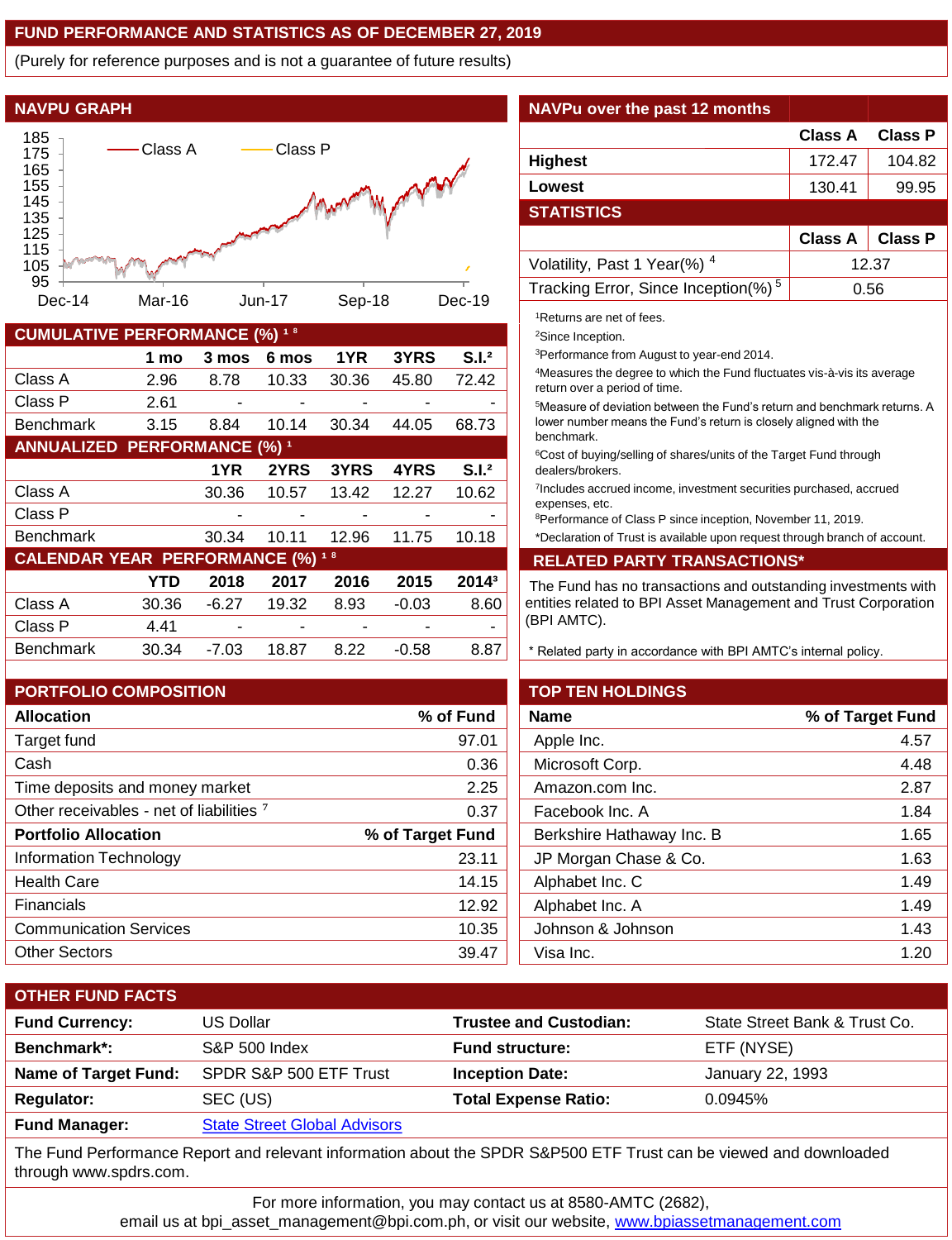## **FUND PERFORMANCE AND STATISTICS AS OF DECEMBER 27, 2019**

(Purely for reference purposes and is not a guarantee of future results)



| <b>CUMULATIVE PERFORMANCE (%)</b><br>18  |       |       |       |       |         |                   |
|------------------------------------------|-------|-------|-------|-------|---------|-------------------|
|                                          | 1 mo  | 3 mos | 6 mos | 1YR   | 3YRS    | S.I. <sup>2</sup> |
| Class A                                  | 2.96  | 8.78  | 10.33 | 30.36 | 45.80   | 72.42             |
| Class P                                  | 2.61  |       |       |       |         |                   |
| <b>Benchmark</b>                         | 3.15  | 8.84  | 10.14 | 30.34 | 44.05   | 68.73             |
| <b>ANNUALIZED PERFORMANCE (%) 1</b>      |       |       |       |       |         |                   |
|                                          |       | 1YR   | 2YRS  | 3YRS  | 4YRS    | S.I. <sup>2</sup> |
| Class A                                  |       | 30.36 | 10.57 | 13.42 | 12.27   | 10.62             |
| Class P                                  |       |       |       |       |         |                   |
| <b>Benchmark</b>                         |       | 30.34 | 10.11 | 12.96 | 11.75   | 10.18             |
| <b>CALENDAR YEAR PERFORMANCE (%) 1 8</b> |       |       |       |       |         |                   |
|                                          | YTD   | 2018  | 2017  | 2016  | 2015    | 2014 <sup>3</sup> |
| Class A                                  | 30.36 | -6.27 | 19.32 | 8.93  | $-0.03$ | 8.60              |
| Class P                                  | 4.41  |       |       |       |         |                   |
| <b>Benchmark</b>                         | 30.34 | -7.03 | 18.87 | 8.22  | -0.58   | 8.87              |

| <b>PORTFOLIO COMPOSITION</b>                        |                  | <b>TOP TEN HOLDINGS</b>   |                  |
|-----------------------------------------------------|------------------|---------------------------|------------------|
| <b>Allocation</b>                                   | % of Fund        | <b>Name</b>               | % of Target Fund |
| Target fund                                         | 97.01            | Apple Inc.                | 4.57             |
| Cash                                                | 0.36             | Microsoft Corp.           | 4.48             |
| Time deposits and money market                      | 2.25             | Amazon.com Inc.           | 2.87             |
| Other receivables - net of liabilities <sup>7</sup> | 0.37             | Facebook Inc. A           | 1.84             |
| <b>Portfolio Allocation</b>                         | % of Target Fund | Berkshire Hathaway Inc. B | 1.65             |
| Information Technology                              | 23.11            | JP Morgan Chase & Co.     | 1.63             |
| <b>Health Care</b>                                  | 14.15            | Alphabet Inc. C           | 1.49             |
| Financials                                          | 12.92            | Alphabet Inc. A           | 1.49             |
| <b>Communication Services</b>                       | 10.35            | Johnson & Johnson         | 1.43             |
| <b>Other Sectors</b>                                | 39.47            | Visa Inc.                 | 1.20             |
|                                                     |                  |                           |                  |

# **Class A Class P Highest** 172.47 | 104.82 **Lowest** 130.41 99.95 **STATISTICS Class A Class P** Volatility, Past 1 Year(%)<sup>4</sup> 12.37 Tracking Error, Since Inception(%)<sup>5</sup> 0.56 <sup>1</sup>Returns are net of fees. <sup>2</sup>Since Inception. <sup>3</sup>Performance from August to year-end 2014. <sup>4</sup>Measures the degree to which the Fund fluctuates vis-à-vis its average return over a period of time. <sup>5</sup>Measure of deviation between the Fund's return and benchmark returns. A lower number means the Fund's return is closely aligned with the benchmark. <sup>6</sup>Cost of buying/selling of shares/units of the Target Fund through dealers/brokers.

7 Includes accrued income, investment securities purchased, accrued expenses, etc.

<sup>8</sup>Performance of Class P since inception, November 11, 2019.

\*Declaration of Trust is available upon request through branch of account.

#### **CALENDAR YEAR PERFORMANCE (%) ¹ <sup>8</sup> RELATED PARTY TRANSACTIONS\***

The Fund has no transactions and outstanding investments with entities related to BPI Asset Management and Trust Corporation (BPI AMTC).

\* Related party in accordance with BPI AMTC's internal policy.

| <b>TOP TEN HOLDINGS</b>   |                  |
|---------------------------|------------------|
| <b>Name</b>               | % of Target Fund |
| Apple Inc.                | 4.57             |
| Microsoft Corp.           | 4.48             |
| Amazon.com Inc.           | 2.87             |
| Facebook Inc. A           | 1.84             |
| Berkshire Hathaway Inc. B | 1.65             |
| JP Morgan Chase & Co.     | 1.63             |
| Alphabet Inc. C           | 1.49             |
| Alphabet Inc. A           | 1.49             |
| Johnson & Johnson         | 1.43             |
| Visa Inc.                 | 1.20             |
|                           |                  |

| <b>OTHER FUND FACTS</b>     |                                     |                               |                               |
|-----------------------------|-------------------------------------|-------------------------------|-------------------------------|
| <b>Fund Currency:</b>       | <b>US Dollar</b>                    | <b>Trustee and Custodian:</b> | State Street Bank & Trust Co. |
| Benchmark*:                 | <b>S&amp;P 500 Index</b>            | <b>Fund structure:</b>        | ETF (NYSE)                    |
| <b>Name of Target Fund:</b> | SPDR S&P 500 ETF Trust              | <b>Inception Date:</b>        | January 22, 1993              |
| <b>Regulator:</b>           | SEC (US)                            | <b>Total Expense Ratio:</b>   | 0.0945%                       |
| <b>Fund Manager:</b>        | <b>State Street Global Advisors</b> |                               |                               |
|                             |                                     |                               |                               |

The Fund Performance Report and relevant information about the SPDR S&P500 ETF Trust can be viewed and downloaded through www.spdrs.com.

For more information, you may contact us at 8580-AMTC (2682),

email us at bpi\_asset\_management@bpi.com.ph, or visit our website, [www.bpiassetmanagement.com](http://www.bpiassetmanagement.com/)